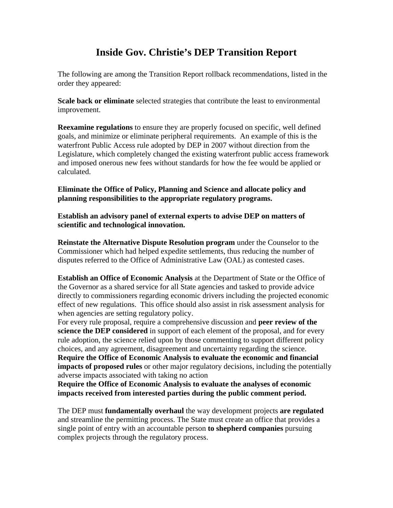## **Inside Gov. Christie's DEP Transition Report**

The following are among the Transition Report rollback recommendations, listed in the order they appeared:

**Scale back or eliminate** selected strategies that contribute the least to environmental improvement.

**Reexamine regulations** to ensure they are properly focused on specific, well defined goals, and minimize or eliminate peripheral requirements. An example of this is the waterfront Public Access rule adopted by DEP in 2007 without direction from the Legislature, which completely changed the existing waterfront public access framework and imposed onerous new fees without standards for how the fee would be applied or calculated.

**Eliminate the Office of Policy, Planning and Science and allocate policy and planning responsibilities to the appropriate regulatory programs.**

**Establish an advisory panel of external experts to advise DEP on matters of scientific and technological innovation.** 

**Reinstate the Alternative Dispute Resolution program** under the Counselor to the Commissioner which had helped expedite settlements, thus reducing the number of disputes referred to the Office of Administrative Law (OAL) as contested cases.

**Establish an Office of Economic Analysis** at the Department of State or the Office of the Governor as a shared service for all State agencies and tasked to provide advice directly to commissioners regarding economic drivers including the projected economic effect of new regulations. This office should also assist in risk assessment analysis for when agencies are setting regulatory policy.

For every rule proposal, require a comprehensive discussion and **peer review of the science the DEP considered** in support of each element of the proposal, and for every rule adoption, the science relied upon by those commenting to support different policy choices, and any agreement, disagreement and uncertainty regarding the science.

**Require the Office of Economic Analysis to evaluate the economic and financial impacts of proposed rules** or other major regulatory decisions, including the potentially adverse impacts associated with taking no action

**Require the Office of Economic Analysis to evaluate the analyses of economic impacts received from interested parties during the public comment period.**

The DEP must **fundamentally overhaul** the way development projects **are regulated** and streamline the permitting process. The State must create an office that provides a single point of entry with an accountable person **to shepherd companies** pursuing complex projects through the regulatory process.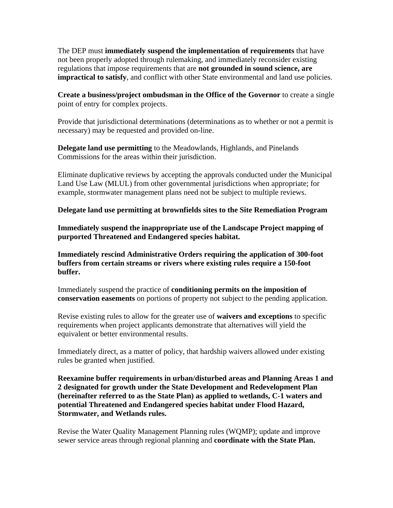The DEP must **immediately suspend the implementation of requirements** that have not been properly adopted through rulemaking, and immediately reconsider existing regulations that impose requirements that are **not grounded in sound science, are impractical to satisfy**, and conflict with other State environmental and land use policies.

**Create a business/project ombudsman in the Office of the Governor** to create a single point of entry for complex projects.

Provide that jurisdictional determinations (determinations as to whether or not a permit is necessary) may be requested and provided on-line.

**Delegate land use permitting** to the Meadowlands, Highlands, and Pinelands Commissions for the areas within their jurisdiction.

Eliminate duplicative reviews by accepting the approvals conducted under the Municipal Land Use Law (MLUL) from other governmental jurisdictions when appropriate; for example, stormwater management plans need not be subject to multiple reviews.

**Delegate land use permitting at brownfields sites to the Site Remediation Program**

**Immediately suspend the inappropriate use of the Landscape Project mapping of purported Threatened and Endangered species habitat.**

**Immediately rescind Administrative Orders requiring the application of 300-foot buffers from certain streams or rivers where existing rules require a 150-foot buffer.**

Immediately suspend the practice of **conditioning permits on the imposition of conservation easements** on portions of property not subject to the pending application.

Revise existing rules to allow for the greater use of **waivers and exceptions** to specific requirements when project applicants demonstrate that alternatives will yield the equivalent or better environmental results.

Immediately direct, as a matter of policy, that hardship waivers allowed under existing rules be granted when justified.

**Reexamine buffer requirements in urban/disturbed areas and Planning Areas 1 and 2 designated for growth under the State Development and Redevelopment Plan (hereinafter referred to as the State Plan) as applied to wetlands, C-1 waters and potential Threatened and Endangered species habitat under Flood Hazard, Stormwater, and Wetlands rules.**

Revise the Water Quality Management Planning rules (WQMP); update and improve sewer service areas through regional planning and **coordinate with the State Plan.**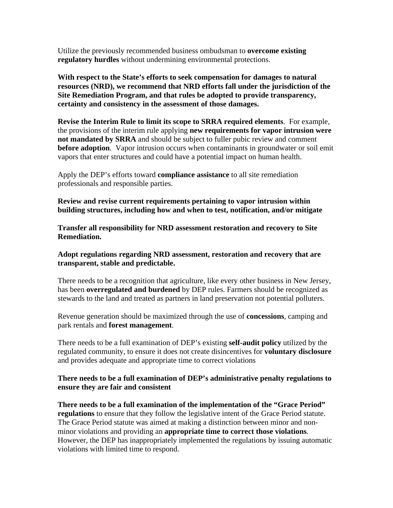Utilize the previously recommended business ombudsman to **overcome existing regulatory hurdles** without undermining environmental protections.

**With respect to the State's efforts to seek compensation for damages to natural resources (NRD), we recommend that NRD efforts fall under the jurisdiction of the Site Remediation Program, and that rules be adopted to provide transparency, certainty and consistency in the assessment of those damages.**

**Revise the Interim Rule to limit its scope to SRRA required elements**. For example, the provisions of the interim rule applying **new requirements for vapor intrusion were not mandated by SRRA** and should be subject to fuller pubic review and comment **before adoption**. Vapor intrusion occurs when contaminants in groundwater or soil emit vapors that enter structures and could have a potential impact on human health.

Apply the DEP's efforts toward **compliance assistance** to all site remediation professionals and responsible parties.

**Review and revise current requirements pertaining to vapor intrusion within building structures, including how and when to test, notification, and/or mitigate**

**Transfer all responsibility for NRD assessment restoration and recovery to Site Remediation.**

**Adopt regulations regarding NRD assessment, restoration and recovery that are transparent, stable and predictable.**

There needs to be a recognition that agriculture, like every other business in New Jersey, has been **overregulated and burdened** by DEP rules. Farmers should be recognized as stewards to the land and treated as partners in land preservation not potential polluters.

Revenue generation should be maximized through the use of **concessions**, camping and park rentals and **forest management**.

There needs to be a full examination of DEP's existing **self-audit policy** utilized by the regulated community, to ensure it does not create disincentives for **voluntary disclosure** and provides adequate and appropriate time to correct violations

## **There needs to be a full examination of DEP's administrative penalty regulations to ensure they are fair and consistent**

**There needs to be a full examination of the implementation of the "Grace Period" regulations** to ensure that they follow the legislative intent of the Grace Period statute. The Grace Period statute was aimed at making a distinction between minor and nonminor violations and providing an **appropriate time to correct those violations**. However, the DEP has inappropriately implemented the regulations by issuing automatic violations with limited time to respond.